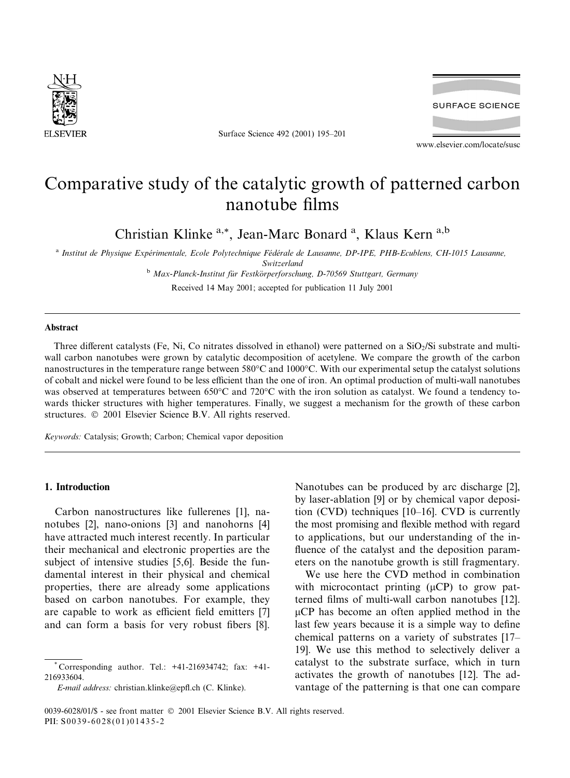

Surface Science 492 (2001) 195-201



www.elsevier.com/locate/susc

# Comparative study of the catalytic growth of patterned carbon nanotube films

Christian Klinke<sup>a,\*</sup>, Jean-Marc Bonard<sup>a</sup>, Klaus Kern<sup>a,b</sup>

<sup>a</sup> Institut de Physique Expérimentale, Ecole Polytechnique Fédérale de Lausanne, DP-IPE, PHB-Ecublens, CH-1015 Lausanne, Switzerland

<sup>b</sup> Max-Planck-Institut für Festkörperforschung, D-70569 Stuttgart, Germany

Received 14 May 2001; accepted for publication 11 July 2001

#### **Abstract**

Three different catalysts (Fe, Ni, Co nitrates dissolved in ethanol) were patterned on a  $SiO<sub>2</sub>/Si$  substrate and multiwall carbon nanotubes were grown by catalytic decomposition of acetylene. We compare the growth of the carbon nanostructures in the temperature range between 580°C and 1000°C. With our experimental setup the catalyst solutions of cobalt and nickel were found to be less efficient than the one of iron. An optimal production of multi-wall nanotubes was observed at temperatures between 650°C and 720°C with the iron solution as catalyst. We found a tendency towards thicker structures with higher temperatures. Finally, we suggest a mechanism for the growth of these carbon structures. © 2001 Elsevier Science B.V. All rights reserved.

Keywords: Catalysis; Growth; Carbon; Chemical vapor deposition

## 1. Introduction

Carbon nanostructures like fullerenes [1], nanotubes [2], nano-onions [3] and nanohorns [4] have attracted much interest recently. In particular their mechanical and electronic properties are the subject of intensive studies [5,6]. Beside the fundamental interest in their physical and chemical properties, there are already some applications based on carbon nanotubes. For example, they are capable to work as efficient field emitters [7] and can form a basis for very robust fibers [8].

E-mail address: christian.klinke@epfl.ch (C. Klinke).

Nanotubes can be produced by arc discharge [2], by laser-ablation [9] or by chemical vapor deposition (CVD) techniques  $[10-16]$ . CVD is currently the most promising and flexible method with regard to applications, but our understanding of the influence of the catalyst and the deposition parameters on the nanotube growth is still fragmentary.

We use here the CVD method in combination with microcontact printing  $(\mu CP)$  to grow patterned films of multi-wall carbon nanotubes [12].  $\mu$ CP has become an often applied method in the last few years because it is a simple way to define chemical patterns on a variety of substrates [17– 19]. We use this method to selectively deliver a catalyst to the substrate surface, which in turn activates the growth of nanotubes [12]. The advantage of the patterning is that one can compare

Corresponding author. Tel.: +41-216934742; fax: +41-216933604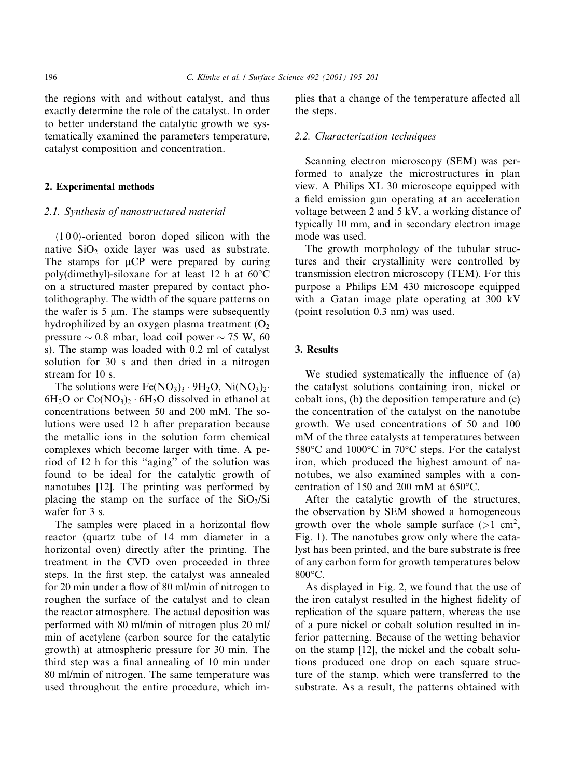the regions with and without catalyst, and thus exactly determine the role of the catalyst. In order to better understand the catalytic growth we systematically examined the parameters temperature, catalyst composition and concentration.

# 2. Experimental methods

#### 2.1. Synthesis of nanostructured material

 $(100)$ -oriented boron doped silicon with the native  $SiO<sub>2</sub>$  oxide layer was used as substrate. The stamps for  $\mu CP$  were prepared by curing poly(dimethyl)-siloxane for at least 12 h at 60°C on a structured master prepared by contact photolithography. The width of the square patterns on the wafer is  $5 \mu m$ . The stamps were subsequently hydrophilized by an oxygen plasma treatment  $(O<sub>2</sub>)$ pressure  $\sim 0.8$  mbar, load coil power  $\sim 75$  W, 60 s). The stamp was loaded with 0.2 ml of catalyst solution for 30 s and then dried in a nitrogen stream for  $10 s$ 

The solutions were  $Fe(NO<sub>3</sub>)<sub>3</sub> \cdot 9H<sub>2</sub>O$ ,  $Ni(NO<sub>3</sub>)<sub>2</sub> \cdot$  $6H_2O$  or  $Co(NO_3)_2 \cdot 6H_2O$  dissolved in ethanol at concentrations between 50 and 200 mM. The solutions were used 12 h after preparation because the metallic ions in the solution form chemical complexes which become larger with time. A period of 12 h for this "aging" of the solution was found to be ideal for the catalytic growth of nanotubes [12]. The printing was performed by placing the stamp on the surface of the  $SiO_2/Si$ wafer for 3 s.

The samples were placed in a horizontal flow reactor (quartz tube of 14 mm diameter in a horizontal oven) directly after the printing. The treatment in the CVD oven proceeded in three steps. In the first step, the catalyst was annealed for 20 min under a flow of 80 ml/min of nitrogen to roughen the surface of the catalyst and to clean the reactor atmosphere. The actual deposition was performed with 80 ml/min of nitrogen plus 20 ml/ min of acetylene (carbon source for the catalytic growth) at atmospheric pressure for 30 min. The third step was a final annealing of 10 min under 80 ml/min of nitrogen. The same temperature was used throughout the entire procedure, which implies that a change of the temperature affected all the steps.

## 2.2. Characterization techniques

Scanning electron microscopy (SEM) was performed to analyze the microstructures in plan view. A Philips XL 30 microscope equipped with a field emission gun operating at an acceleration voltage between 2 and 5 kV, a working distance of typically 10 mm, and in secondary electron image mode was used.

The growth morphology of the tubular structures and their crystallinity were controlled by transmission electron microscopy (TEM). For this purpose a Philips EM 430 microscope equipped with a Gatan image plate operating at 300 kV (point resolution 0.3 nm) was used.

## 3. Results

We studied systematically the influence of (a) the catalyst solutions containing iron, nickel or cobalt ions, (b) the deposition temperature and (c) the concentration of the catalyst on the nanotube growth. We used concentrations of 50 and 100 mM of the three catalysts at temperatures between 580°C and 1000°C in 70°C steps. For the catalyst iron, which produced the highest amount of nanotubes, we also examined samples with a concentration of 150 and 200 mM at 650°C.

After the catalytic growth of the structures, the observation by SEM showed a homogeneous growth over the whole sample surface  $(>1$  cm<sup>2</sup>, Fig. 1). The nanotubes grow only where the catalyst has been printed, and the bare substrate is free of any carbon form for growth temperatures below  $800^{\circ}$ C.

As displayed in Fig. 2, we found that the use of the iron catalyst resulted in the highest fidelity of replication of the square pattern, whereas the use of a pure nickel or cobalt solution resulted in inferior patterning. Because of the wetting behavior on the stamp [12], the nickel and the cobalt solutions produced one drop on each square structure of the stamp, which were transferred to the substrate. As a result, the patterns obtained with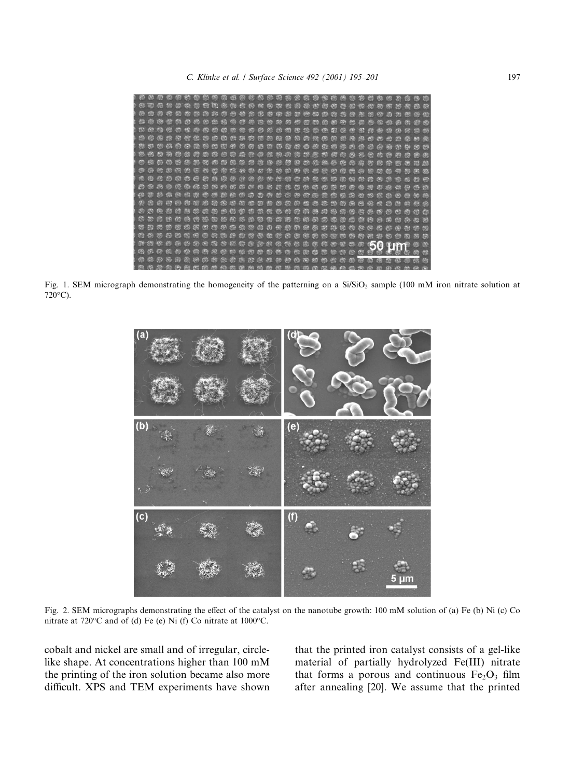

Fig. 1. SEM micrograph demonstrating the homogeneity of the patterning on a  $Si/SiO<sub>2</sub>$  sample (100 mM iron nitrate solution at  $720^{\circ}$ C).



Fig. 2. SEM micrographs demonstrating the effect of the catalyst on the nanotube growth: 100 mM solution of (a) Fe (b) Ni (c) Co nitrate at 720 $\degree$ C and of (d) Fe (e) Ni (f) Co nitrate at 1000 $\degree$ C.

cobalt and nickel are small and of irregular, circlelike shape. At concentrations higher than 100 mM the printing of the iron solution became also more difficult. XPS and TEM experiments have shown

that the printed iron catalyst consists of a gel-like material of partially hydrolyzed Fe(III) nitrate that forms a porous and continuous Fe<sub>2</sub>O<sub>3</sub> film after annealing [20]. We assume that the printed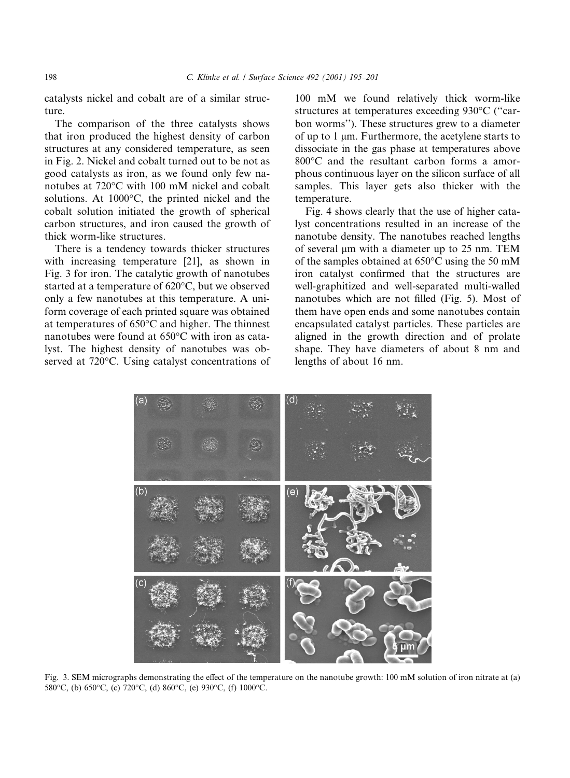catalysts nickel and cobalt are of a similar structure.

The comparison of the three catalysts shows that iron produced the highest density of carbon structures at any considered temperature, as seen in Fig. 2. Nickel and cobalt turned out to be not as good catalysts as iron, as we found only few nanotubes at 720 °C with 100 mM nickel and cobalt solutions. At 1000°C, the printed nickel and the cobalt solution initiated the growth of spherical carbon structures, and iron caused the growth of thick worm-like structures.

There is a tendency towards thicker structures with increasing temperature [21], as shown in Fig. 3 for iron. The catalytic growth of nanotubes started at a temperature of 620°C, but we observed only a few nanotubes at this temperature. A uniform coverage of each printed square was obtained at temperatures of  $650^{\circ}$ C and higher. The thinnest nanotubes were found at 650°C with iron as catalyst. The highest density of nanotubes was observed at 720°C. Using catalyst concentrations of 100 mM we found relatively thick worm-like structures at temperatures exceeding 930°C ("carbon worms"). These structures grew to a diameter of up to  $1 \mu m$ . Furthermore, the acetylene starts to dissociate in the gas phase at temperatures above 800°C and the resultant carbon forms a amorphous continuous layer on the silicon surface of all samples. This layer gets also thicker with the temperature.

Fig. 4 shows clearly that the use of higher catalyst concentrations resulted in an increase of the nanotube density. The nanotubes reached lengths of several um with a diameter up to 25 nm. TEM of the samples obtained at  $650^{\circ}$ C using the 50 mM iron catalyst confirmed that the structures are well-graphitized and well-separated multi-walled nanotubes which are not filled (Fig. 5). Most of them have open ends and some nanotubes contain encapsulated catalyst particles. These particles are aligned in the growth direction and of prolate shape. They have diameters of about 8 nm and lengths of about 16 nm.



Fig. 3. SEM micrographs demonstrating the effect of the temperature on the nanotube growth: 100 mM solution of iron nitrate at (a) 580°C, (b) 650°C, (c) 720°C, (d) 860°C, (e) 930°C, (f) 1000°C.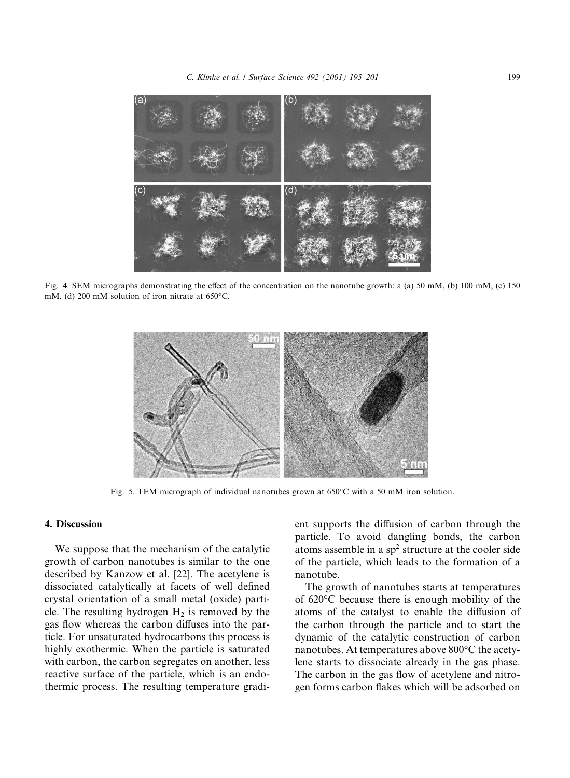

Fig. 4. SEM micrographs demonstrating the effect of the concentration on the nanotube growth: a (a) 50 mM, (b) 100 mM, (c) 150 mM, (d) 200 mM solution of iron nitrate at 650°C.



Fig. 5. TEM micrograph of individual nanotubes grown at  $650^{\circ}$ C with a 50 mM iron solution.

## 4. Discussion

We suppose that the mechanism of the catalytic growth of carbon nanotubes is similar to the one described by Kanzow et al. [22]. The acetylene is dissociated catalytically at facets of well defined crystal orientation of a small metal (oxide) particle. The resulting hydrogen  $H_2$  is removed by the gas flow whereas the carbon diffuses into the particle. For unsaturated hydrocarbons this process is highly exothermic. When the particle is saturated with carbon, the carbon segregates on another, less reactive surface of the particle, which is an endothermic process. The resulting temperature gradient supports the diffusion of carbon through the particle. To avoid dangling bonds, the carbon atoms assemble in a  $sp<sup>2</sup>$  structure at the cooler side of the particle, which leads to the formation of a nanotube.

The growth of nanotubes starts at temperatures of 620°C because there is enough mobility of the atoms of the catalyst to enable the diffusion of the carbon through the particle and to start the dynamic of the catalytic construction of carbon nanotubes. At temperatures above 800°C the acetylene starts to dissociate already in the gas phase. The carbon in the gas flow of acetylene and nitrogen forms carbon flakes which will be adsorbed on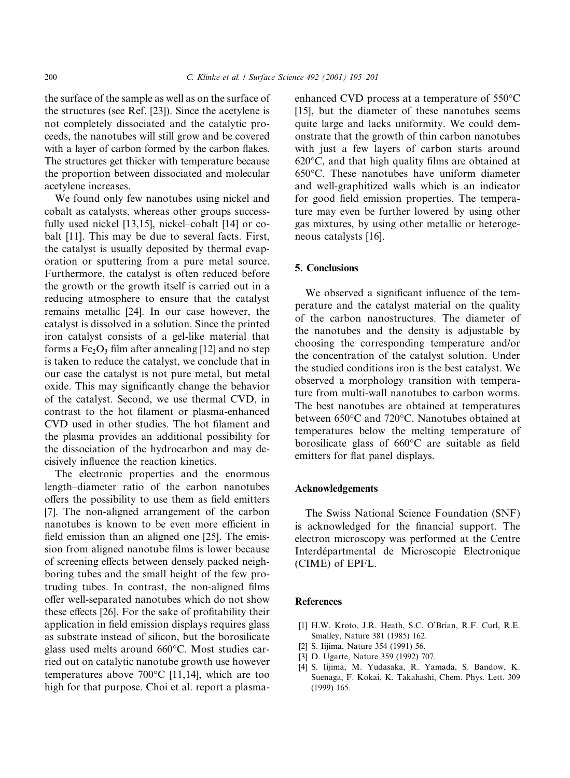the surface of the sample as well as on the surface of the structures (see Ref. [23]). Since the acetylene is not completely dissociated and the catalytic proceeds, the nanotubes will still grow and be covered with a layer of carbon formed by the carbon flakes. The structures get thicker with temperature because the proportion between dissociated and molecular acetylene increases.

We found only few nanotubes using nickel and cobalt as catalysts, whereas other groups successfully used nickel [13,15], nickel-cobalt [14] or cobalt [11]. This may be due to several facts. First, the catalyst is usually deposited by thermal evaporation or sputtering from a pure metal source. Furthermore, the catalyst is often reduced before the growth or the growth itself is carried out in a reducing atmosphere to ensure that the catalyst remains metallic [24]. In our case however, the catalyst is dissolved in a solution. Since the printed iron catalyst consists of a gel-like material that forms a  $Fe<sub>2</sub>O<sub>3</sub>$  film after annealing [12] and no step is taken to reduce the catalyst, we conclude that in our case the catalyst is not pure metal, but metal oxide. This may significantly change the behavior of the catalyst. Second, we use thermal CVD, in contrast to the hot filament or plasma-enhanced CVD used in other studies. The hot filament and the plasma provides an additional possibility for the dissociation of the hydrocarbon and may decisively influence the reaction kinetics.

The electronic properties and the enormous length-diameter ratio of the carbon nanotubes offers the possibility to use them as field emitters [7]. The non-aligned arrangement of the carbon nanotubes is known to be even more efficient in field emission than an aligned one [25]. The emission from aligned nanotube films is lower because of screening effects between densely packed neighboring tubes and the small height of the few protruding tubes. In contrast, the non-aligned films offer well-separated nanotubes which do not show these effects [26]. For the sake of profitability their application in field emission displays requires glass as substrate instead of silicon, but the borosilicate glass used melts around 660°C. Most studies carried out on catalytic nanotube growth use however temperatures above  $700^{\circ}$ C [11,14], which are too high for that purpose. Choi et al. report a plasmaenhanced CVD process at a temperature of 550°C [15], but the diameter of these nanotubes seems quite large and lacks uniformity. We could demonstrate that the growth of thin carbon nanotubes with just a few layers of carbon starts around  $620^{\circ}$ C, and that high quality films are obtained at  $650^{\circ}$ C. These nanotubes have uniform diameter and well-graphitized walls which is an indicator for good field emission properties. The temperature may even be further lowered by using other gas mixtures, by using other metallic or heterogeneous catalysts [16].

# 5. Conclusions

We observed a significant influence of the temperature and the catalyst material on the quality of the carbon nanostructures. The diameter of the nanotubes and the density is adjustable by choosing the corresponding temperature and/or the concentration of the catalyst solution. Under the studied conditions iron is the best catalyst. We observed a morphology transition with temperature from multi-wall nanotubes to carbon worms. The best nanotubes are obtained at temperatures between 650°C and 720°C. Nanotubes obtained at temperatures below the melting temperature of borosilicate glass of  $660^{\circ}$ C are suitable as field emitters for flat panel displays.

## Acknowledgements

The Swiss National Science Foundation (SNF) is acknowledged for the financial support. The electron microscopy was performed at the Centre Interdépartmental de Microscopie Electronique (CIME) of EPFL.

## **References**

- [1] H.W. Kroto, J.R. Heath, S.C. O'Brian, R.F. Curl, R.E. Smalley, Nature 381 (1985) 162.
- [2] S. Iijima, Nature 354 (1991) 56.
- [3] D. Ugarte, Nature 359 (1992) 707.
- [4] S. Iijima, M. Yudasaka, R. Yamada, S. Bandow, K. Suenaga, F. Kokai, K. Takahashi, Chem. Phys. Lett. 309  $(1999)$  165.